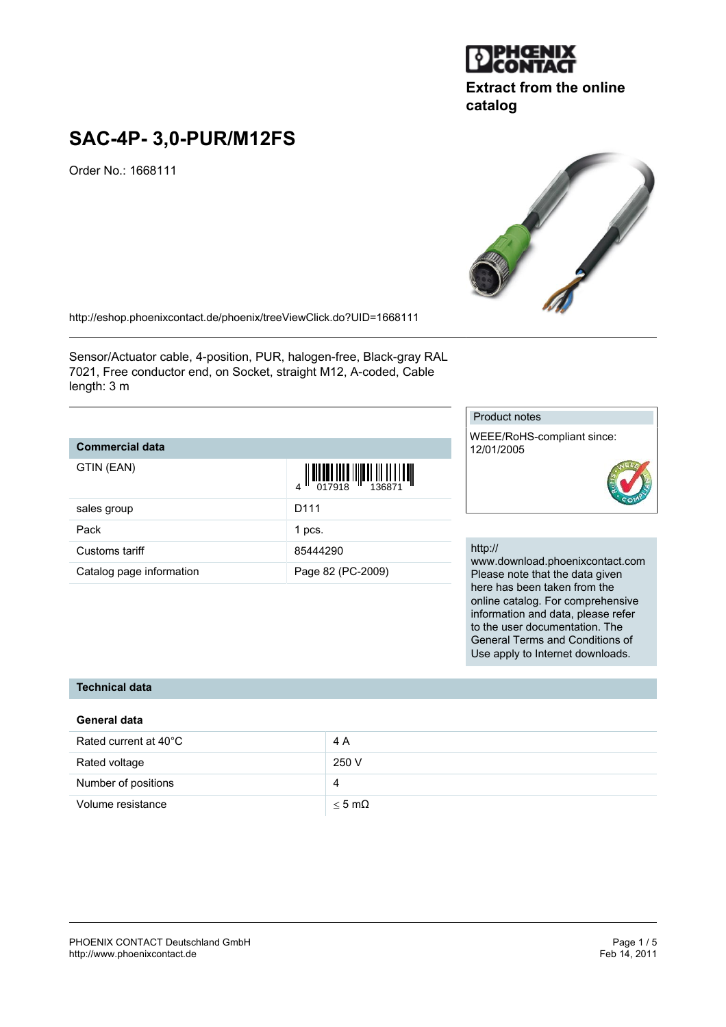

## **Extract from the online catalog**

# **SAC-4P- 3,0-PUR/M12FS**

Order No.: 1668111

<http://eshop.phoenixcontact.de/phoenix/treeViewClick.do?UID=1668111>

Sensor/Actuator cable, 4-position, PUR, halogen-free, Black-gray RAL 7021, Free conductor end, on Socket, straight M12, A-coded, Cable length: 3 m

## **Commercial data**

| GTIN (EAN)               | $\begin{array}{c} 4 \end{array} \begin{array}{c} \begin{array}{c} \begin{array}{c} \begin{array}{c} \end{array}\\ \begin{array}{c} \end{array}\\ \begin{array}{c} \end{array}\\ \begin{array}{c} \end{array}\\ \begin{array}{c} \end{array}\\ \begin{array}{c} \end{array}\\ \begin{array}{c} \end{array}\\ \begin{array}{c} \end{array}\\ \begin{array}{c} \end{array}\\ \begin{array}{c} \end{array}\\ \begin{array}{c} \end{array}\\ \begin{array}{c} \end{array}\\ \begin{array}{c} \end{array}\\ \begin{array}{c} \end{array}\\ \begin{array}{c} \end{array}\\ \begin{array}{$ |
|--------------------------|-------------------------------------------------------------------------------------------------------------------------------------------------------------------------------------------------------------------------------------------------------------------------------------------------------------------------------------------------------------------------------------------------------------------------------------------------------------------------------------------------------------------------------------------------------------------------------------|
| sales group              | D <sub>111</sub>                                                                                                                                                                                                                                                                                                                                                                                                                                                                                                                                                                    |
| Pack                     | 1 pcs.                                                                                                                                                                                                                                                                                                                                                                                                                                                                                                                                                                              |
| Customs tariff           | 85444290                                                                                                                                                                                                                                                                                                                                                                                                                                                                                                                                                                            |
| Catalog page information | Page 82 (PC-2009)                                                                                                                                                                                                                                                                                                                                                                                                                                                                                                                                                                   |

#### Product notes

WEEE/RoHS-compliant since: 12/01/2005



#### http://

www.download.phoenixcontact.com Please note that the data given here has been taken from the online catalog. For comprehensive information and data, please refer to the user documentation. The General Terms and Conditions of Use apply to Internet downloads.

## **Technical data**

#### **General data**

| Rated current at 40°C | 4 A              |
|-----------------------|------------------|
| Rated voltage         | 250 V            |
| Number of positions   | 4                |
| Volume resistance     | $<$ 5 m $\Omega$ |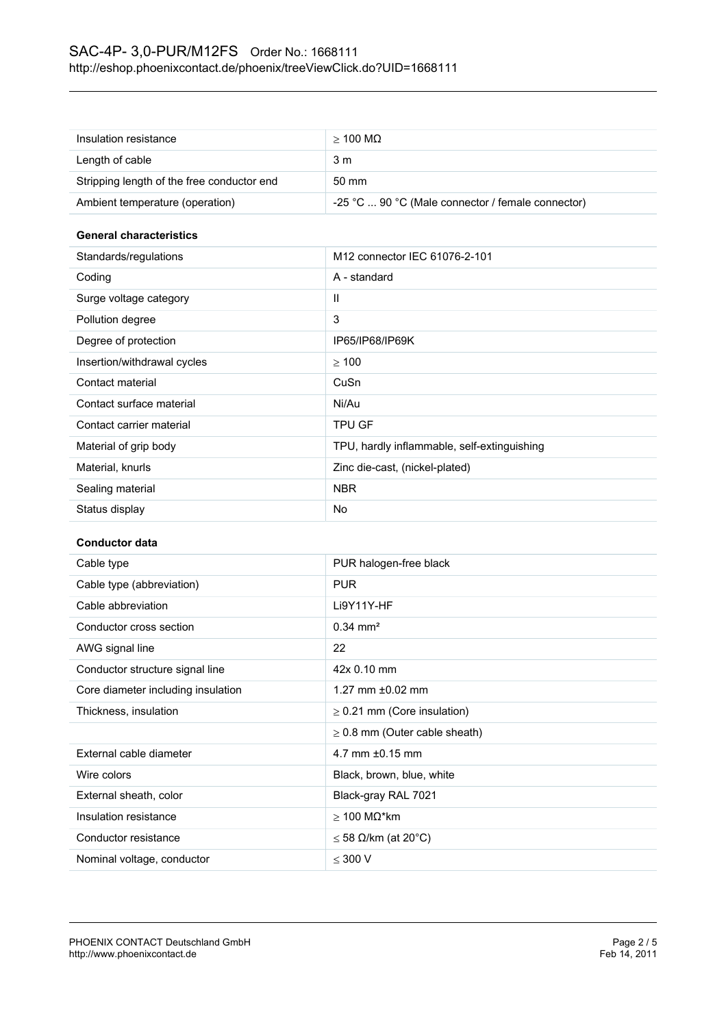| Insulation resistance                      | $>$ 100 MQ                                        |
|--------------------------------------------|---------------------------------------------------|
| Length of cable                            | 3 m                                               |
| Stripping length of the free conductor end | 50 mm                                             |
| Ambient temperature (operation)            | -25 °C  90 °C (Male connector / female connector) |

#### **General characteristics**

| Standards/regulations       | M12 connector IEC 61076-2-101               |
|-----------------------------|---------------------------------------------|
| Coding                      | A - standard                                |
| Surge voltage category      | Ш                                           |
| Pollution degree            | 3                                           |
| Degree of protection        | IP65/IP68/IP69K                             |
| Insertion/withdrawal cycles | >100                                        |
| Contact material            | CuSn                                        |
| Contact surface material    | Ni/Au                                       |
| Contact carrier material    | <b>TPU GF</b>                               |
| Material of grip body       | TPU, hardly inflammable, self-extinguishing |
| Material, knurls            | Zinc die-cast, (nickel-plated)              |
| Sealing material            | <b>NBR</b>                                  |
| Status display              | No                                          |

## **Conductor data**

| Cable type                         | PUR halogen-free black             |
|------------------------------------|------------------------------------|
| Cable type (abbreviation)          | <b>PUR</b>                         |
| Cable abbreviation                 | Li9Y11Y-HF                         |
| Conductor cross section            | $0.34 \text{ mm}^2$                |
| AWG signal line                    | 22                                 |
| Conductor structure signal line    | 42x 0.10 mm                        |
| Core diameter including insulation | 1.27 mm $\pm 0.02$ mm              |
| Thickness, insulation              | $\geq$ 0.21 mm (Core insulation)   |
|                                    | $\geq$ 0.8 mm (Outer cable sheath) |
| External cable diameter            | 4.7 mm $\pm 0.15$ mm               |
| Wire colors                        | Black, brown, blue, white          |
| External sheath, color             | Black-gray RAL 7021                |
| Insulation resistance              | $>$ 100 MΩ*km                      |
| Conductor resistance               | $\leq$ 58 $\Omega$ /km (at 20°C)   |
| Nominal voltage, conductor         | $<$ 300 V                          |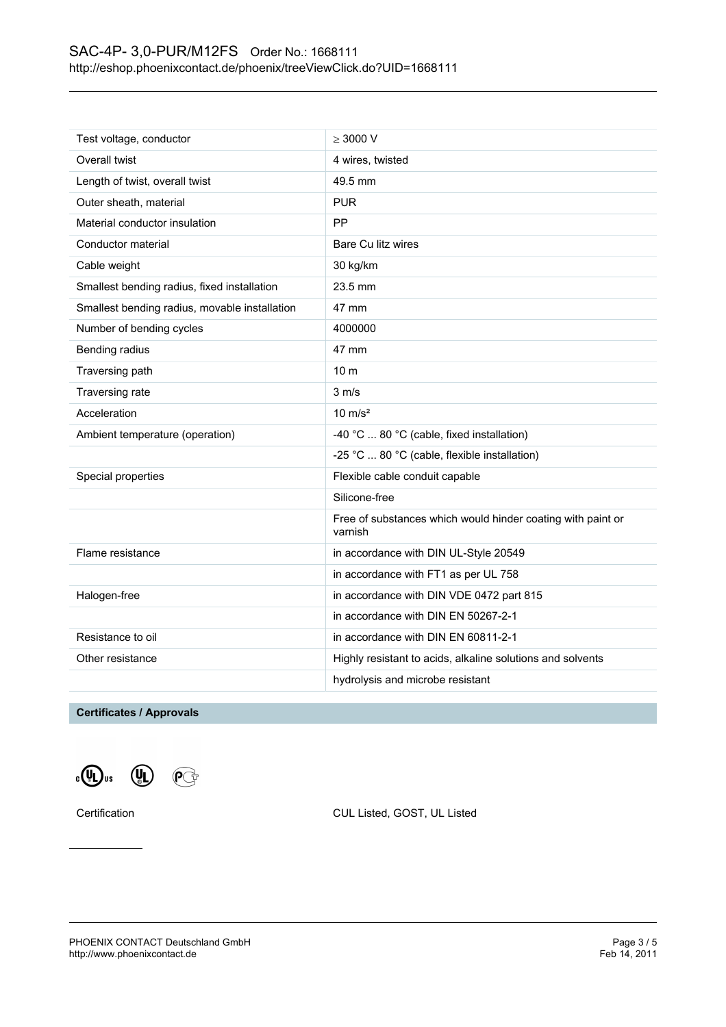| Test voltage, conductor                       | $>$ 3000 V                                                             |
|-----------------------------------------------|------------------------------------------------------------------------|
| Overall twist                                 | 4 wires, twisted                                                       |
| Length of twist, overall twist                | 49.5 mm                                                                |
| Outer sheath, material                        | <b>PUR</b>                                                             |
| Material conductor insulation                 | PP                                                                     |
| Conductor material                            | Bare Cu litz wires                                                     |
| Cable weight                                  | 30 kg/km                                                               |
| Smallest bending radius, fixed installation   | 23.5 mm                                                                |
| Smallest bending radius, movable installation | 47 mm                                                                  |
| Number of bending cycles                      | 4000000                                                                |
| Bending radius                                | 47 mm                                                                  |
| Traversing path                               | 10 <sub>m</sub>                                                        |
| Traversing rate                               | $3 \, \text{m/s}$                                                      |
| Acceleration                                  | $10 \text{ m/s}^2$                                                     |
| Ambient temperature (operation)               | -40 °C  80 °C (cable, fixed installation)                              |
|                                               | -25 °C  80 °C (cable, flexible installation)                           |
| Special properties                            | Flexible cable conduit capable                                         |
|                                               | Silicone-free                                                          |
|                                               | Free of substances which would hinder coating with paint or<br>varnish |
| Flame resistance                              | in accordance with DIN UL-Style 20549                                  |
|                                               | in accordance with FT1 as per UL 758                                   |
| Halogen-free                                  | in accordance with DIN VDE 0472 part 815                               |
|                                               | in accordance with DIN EN 50267-2-1                                    |
| Resistance to oil                             | in accordance with DIN EN 60811-2-1                                    |
| Other resistance                              | Highly resistant to acids, alkaline solutions and solvents             |
|                                               | hydrolysis and microbe resistant                                       |

## **Certificates / Approvals**





Certification CUL Listed, GOST, UL Listed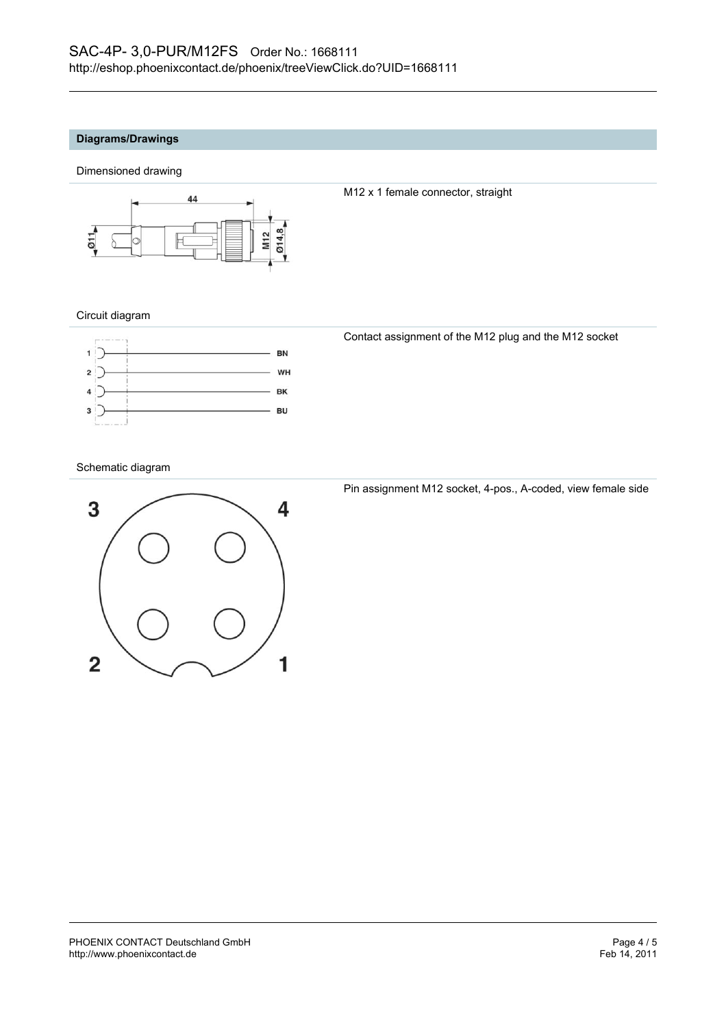#### **Diagrams/Drawings**

Dimensioned drawing



M12 x 1 female connector, straight

#### Circuit diagram



Contact assignment of the M12 plug and the M12 socket

#### Schematic diagram



Pin assignment M12 socket, 4-pos., A-coded, view female side